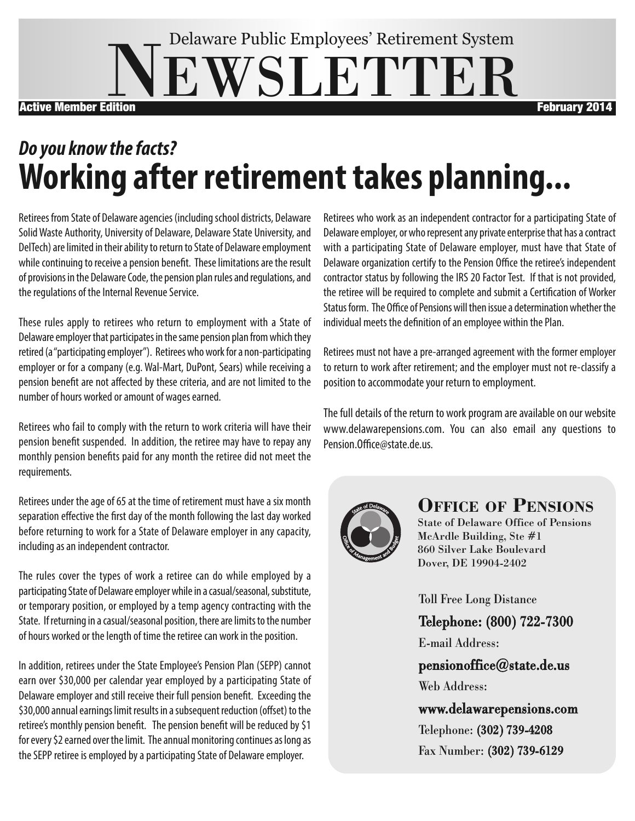# **EWSLETTER** Delaware Public Employees' Retirement System Active Member Edition **February 2014**

# *Do* you know the facts? **Working after retirement takes planning...**

Retirees from State of Delaware agencies (including school districts, Delaware Solid Waste Authority, University of Delaware, Delaware State University, and DelTech) are limited in their ability to return to State of Delaware employment while continuing to receive a pension benefit. These limitations are the result of provisions in the Delaware Code, the pension plan rules and regulations, and the regulations of the Internal Revenue Service.

These rules apply to retirees who return to employment with a State of Delaware employer that participates in the same pension plan from which they retired (a "participating employer"). Retirees who work for a non-participating employer or for a company (e.g. Wal-Mart, DuPont, Sears) while receiving a pension benefit are not affected by these criteria, and are not limited to the number of hours worked or amount of wages earned.

Retirees who fail to comply with the return to work criteria will have their pension benefit suspended. In addition, the retiree may have to repay any monthly pension benefits paid for any month the retiree did not meet the requirements.

Retirees under the age of 65 at the time of retirement must have a six month separation effective the first day of the month following the last day worked before returning to work for a State of Delaware employer in any capacity, including as an independent contractor.

The rules cover the types of work a retiree can do while employed by a participating State of Delaware employer while in a casual/seasonal, substitute, or temporary position, or employed by a temp agency contracting with the State. If returning in a casual/seasonal position, there are limits to the number of hours worked or the length of time the retiree can work in the position.

In addition, retirees under the State Employee's Pension Plan (SEPP) cannot earn over \$30,000 per calendar year employed by a participating State of Delaware employer and still receive their full pension benefit. Exceeding the \$30,000 annual earnings limit results in a subsequent reduction (offset) to the retiree's monthly pension benefit. The pension benefit will be reduced by \$1 for every \$2 earned over the limit. The annual monitoring continues as long as the SEPP retiree is employed by a participating State of Delaware employer.

Retirees who work as an independent contractor for a participating State of Delaware employer, or who represent any private enterprise that has a contract with a participating State of Delaware employer, must have that State of Delaware organization certify to the Pension Office the retiree's independent contractor status by following the IRS 20 Factor Test. If that is not provided, the retiree will be required to complete and submit a Certification of Worker Status form. The Office of Pensions will then issue a determination whether the individual meets the definition of an employee within the Plan.

Retirees must not have a pre-arranged agreement with the former employer to return to work after retirement; and the employer must not re-classify a position to accommodate your return to employment.

The full details of the return to work program are available on our website www.delawarepensions.com. You can also email any questions to Pension.Office@state.de.us.



#### **Office Of PensiOns**

State of Delaware Office of Pensions McArdle Building, Ste #1 860 Silver Lake Boulevard Dover, DE 19904-2402

Toll Free Long Distance

Telephone: (800) 722-7300

E-mail Address:

pensionoffice@state.de.us Web Address:

www.delawarepensions.com Telephone: (302) 739-4208 Fax Number: (302) 739-6129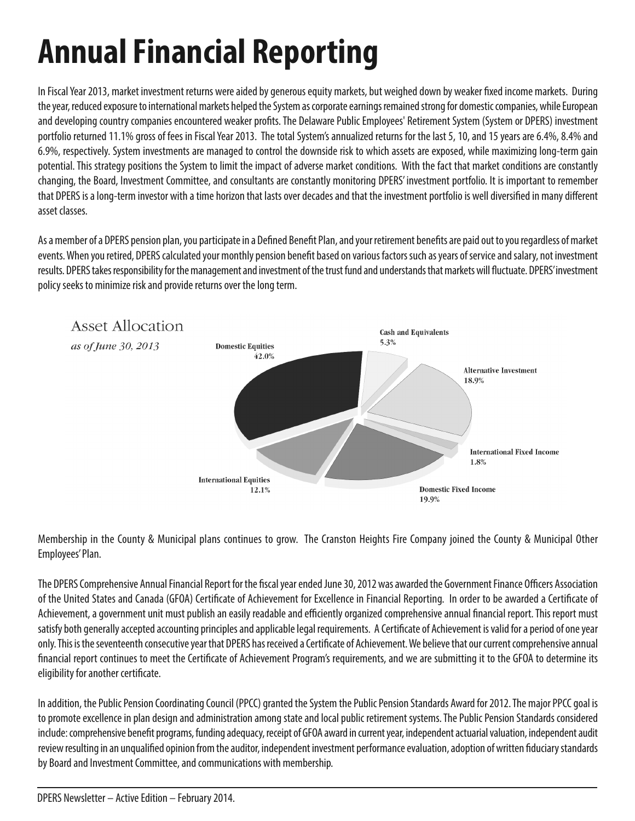# **Annual Financial Reporting**

In Fiscal Year 2013, market investment returns were aided by generous equity markets, but weighed down by weaker fixed income markets. During the year, reduced exposure to international markets helped the System as corporate earnings remained strong for domestic companies, while European and developing country companies encountered weaker profits. The Delaware Public Employees' Retirement System (System or DPERS) investment portfolio returned 11.1% gross of fees in Fiscal Year 2013. The total System's annualized returns for the last 5, 10, and 15 years are 6.4%, 8.4% and 6.9%, respectively. System investments are managed to control the downside risk to which assets are exposed, while maximizing long-term gain potential. This strategy positions the System to limit the impact of adverse market conditions. With the fact that market conditions are constantly changing, the Board, Investment Committee, and consultants are constantly monitoring DPERS' investment portfolio. It is important to remember that DPERS is a long-term investor with a time horizon that lasts over decades and that the investment portfolio is well diversified in many different asset classes.

As a member of a DPERS pension plan, you participate in a Defined Benefit Plan, and your retirement benefits are paid out to you regardless of market events. When you retired, DPERS calculated your monthly pension benefit based on various factors such as years of service and salary, not investment results. DPERS takes responsibility for the management and investment of the trust fund and understands that markets will fluctuate. DPERS' investment policy seeks to minimize risk and provide returns over the long term.



Membership in the County & Municipal plans continues to grow. The Cranston Heights Fire Company joined the County & Municipal Other Employees'Plan.

The DPERS Comprehensive Annual Financial Report for the fiscal year ended June 30, 2012 was awarded the Government Finance Officers Association of the United States and Canada (GFOA) Certificate of Achievement for Excellence in Financial Reporting. In order to be awarded a Certificate of Achievement, a government unit must publish an easily readable and efficiently organized comprehensive annual financial report. This report must satisfy both generally accepted accounting principles and applicable legal requirements. A Certificate of Achievement is valid for a period of one year only. This is the seventeenth consecutive year that DPERS has received a Certificate of Achievement. We believe that our current comprehensive annual financial report continues to meet the Certificate of Achievement Program's requirements, and we are submitting it to the GFOA to determine its eligibility for another certificate.

In addition, the Public Pension Coordinating Council (PPCC) granted the System the Public Pension Standards Award for 2012. The major PPCC goal is to promote excellence in plan design and administration among state and local public retirement systems. The Public Pension Standards considered include: comprehensive benefit programs, funding adequacy, receipt of GFOA award in current year, independent actuarial valuation, independent audit review resulting in an unqualified opinion from the auditor, independent investment performance evaluation, adoption of written fiduciary standards by Board and Investment Committee, and communications with membership.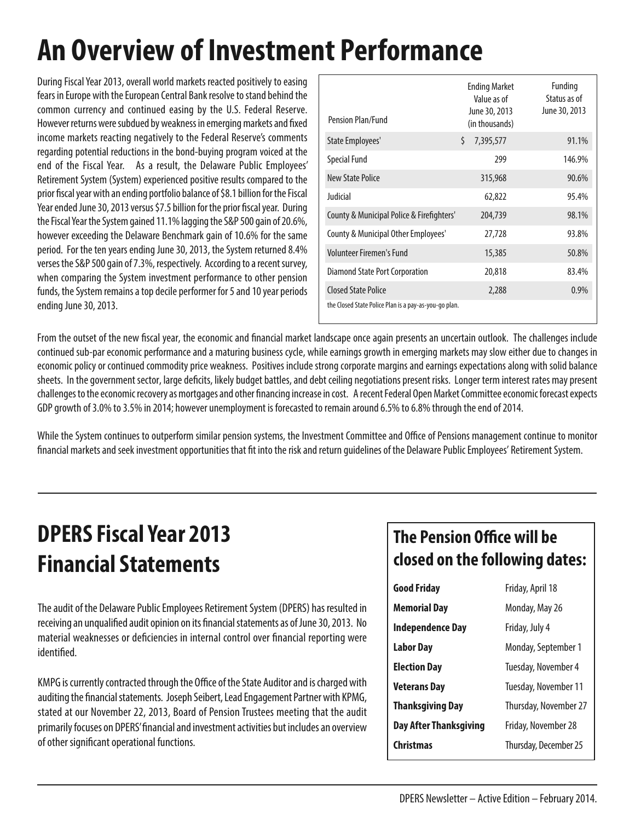# **An Overview of Investment Performance**

During Fiscal Year 2013, overall world markets reacted positively to easing fears in Europe with the European Central Bank resolve to stand behind the common currency and continued easing by the U.S. Federal Reserve. However returns were subdued by weakness in emerging markets and fixed income markets reacting negatively to the Federal Reserve's comments regarding potential reductions in the bond-buying program voiced at the end of the Fiscal Year. As a result, the Delaware Public Employees' Retirement System (System) experienced positive results compared to the prior fiscal year with an ending portfolio balance of \$8.1 billion for the Fiscal Year ended June 30, 2013 versus \$7.5 billion for the prior fiscal year. During the Fiscal Year the System gained 11.1% lagging the S&P 500 gain of 20.6%, however exceeding the Delaware Benchmark gain of 10.6% for the same period. For the ten years ending June 30, 2013, the System returned 8.4% verses the S&P 500 gain of 7.3%, respectively. According to a recent survey, when comparing the System investment performance to other pension funds, the System remains a top decile performer for 5 and 10 year periods ending June 30, 2013.

| <b>Pension Plan/Fund</b>                              |    | <b>Ending Market</b><br>Value as of<br>June 30, 2013<br>(in thousands) | Funding<br>Status as of<br>June 30, 2013 |
|-------------------------------------------------------|----|------------------------------------------------------------------------|------------------------------------------|
| State Employees'                                      | Ś. | 7,395,577                                                              | 91.1%                                    |
| <b>Special Fund</b>                                   |    | 299                                                                    | 146.9%                                   |
| <b>New State Police</b>                               |    | 315,968                                                                | 90.6%                                    |
| Judicial                                              |    | 62,822                                                                 | 95.4%                                    |
| County & Municipal Police & Firefighters'             |    | 204,739                                                                | 98.1%                                    |
| County & Municipal Other Employees'                   |    | 27,728                                                                 | 93.8%                                    |
| Volunteer Firemen's Fund                              |    | 15,385                                                                 | 50.8%                                    |
| Diamond State Port Corporation                        |    | 20,818                                                                 | 83.4%                                    |
| <b>Closed State Police</b>                            |    | 2,288                                                                  | 0.9%                                     |
| the Closed State Police Plan is a pay-as-you-go plan. |    |                                                                        |                                          |

From the outset of the new fiscal year, the economic and financial market landscape once again presents an uncertain outlook. The challenges include continued sub-par economic performance and a maturing business cycle, while earnings growth in emerging markets may slow either due to changes in economic policy or continued commodity price weakness. Positives include strong corporate margins and earnings expectations along with solid balance sheets. In the government sector, large deficits, likely budget battles, and debt ceiling negotiations present risks. Longer term interest rates may present challenges to the economic recovery as mortgages and other financing increase in cost. A recent Federal Open Market Committee economic forecast expects GDP growth of 3.0% to 3.5% in 2014; however unemployment is forecasted to remain around 6.5% to 6.8% through the end of 2014.

While the System continues to outperform similar pension systems, the Investment Committee and Office of Pensions management continue to monitor financial markets and seek investment opportunities that fit into the risk and return guidelines of the Delaware Public Employees' Retirement System.

## **DPERSFiscal Year 2013 FinancialStatements**

The audit of the Delaware Public Employees Retirement System (DPERS) has resulted in receiving an unqualified audit opinion on its financial statements as of June 30, 2013. No material weaknesses or deficiencies in internal control over financial reporting were identified.

KMPG is currently contracted through the Office of the State Auditor and is charged with auditing the financial statements. Joseph Seibert, Lead Engagement Partner with KPMG, stated at our November 22, 2013, Board of Pension Trustees meeting that the audit primarily focuses on DPERS' financial and investment activities but includes an overview of other significant operational functions.

#### **The Pension Office will be closed on the following dates:**

| <b>Good Friday</b>            | Friday, April 18      |  |
|-------------------------------|-----------------------|--|
| <b>Memorial Day</b>           | Monday, May 26        |  |
| <b>Independence Day</b>       | Friday, July 4        |  |
| <b>Labor Day</b>              | Monday, September 1   |  |
| <b>Election Day</b>           | Tuesday, November 4   |  |
| Veterans Day                  | Tuesday, November 11  |  |
| <b>Thanksgiving Day</b>       | Thursday, November 27 |  |
| <b>Day After Thanksgiving</b> | Friday, November 28   |  |
| <b>Christmas</b>              | Thursday, December 25 |  |